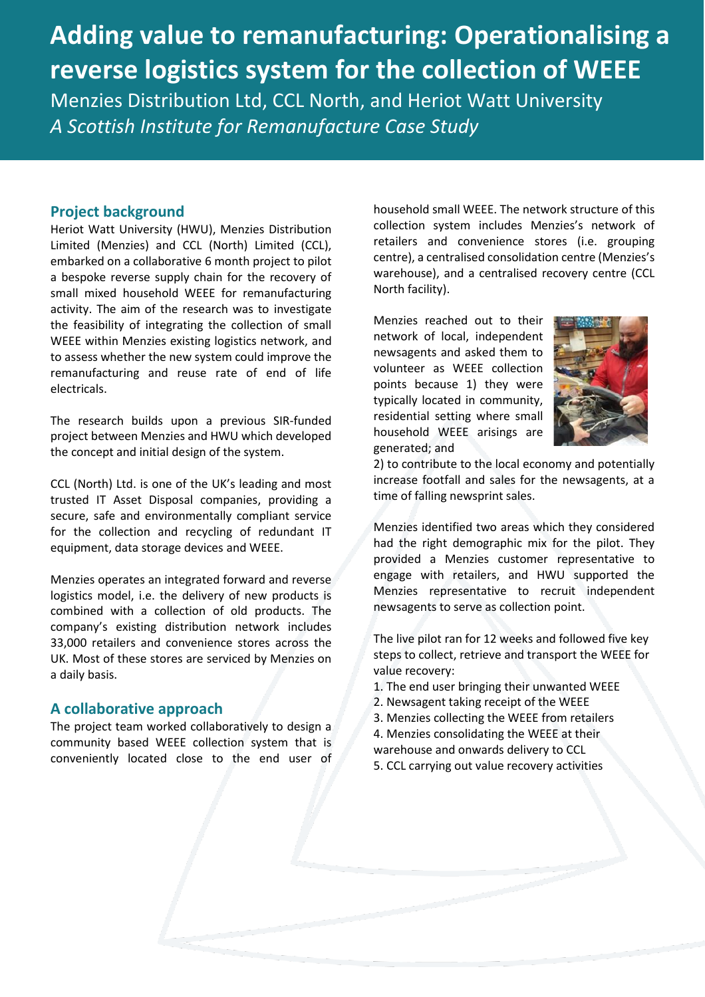# **Adding value to remanufacturing: Operationalising a reverse logistics system for the collection of WEEE** Menzies Distribution Ltd, CCL North, and Heriot Watt University *A Scottish Institute for Remanufacture Case Study*

#### **Project background**

Heriot Watt University (HWU), Menzies Distribution Limited (Menzies) and CCL (North) Limited (CCL), embarked on a collaborative 6 month project to pilot a bespoke reverse supply chain for the recovery of small mixed household WEEE for remanufacturing activity. The aim of the research was to investigate the feasibility of integrating the collection of small WEEE within Menzies existing logistics network, and to assess whether the new system could improve the remanufacturing and reuse rate of end of life electricals.

The research builds upon a previous SIR-funded project between Menzies and HWU which developed the concept and initial design of the system.

CCL (North) Ltd. is one of the UK's leading and most trusted IT Asset Disposal companies, providing a secure, safe and environmentally compliant service for the collection and recycling of redundant IT equipment, data storage devices and WEEE.

Menzies operates an integrated forward and reverse logistics model, i.e. the delivery of new products is combined with a collection of old products. The company's existing distribution network includes 33,000 retailers and convenience stores across the UK. Most of these stores are serviced by Menzies on a daily basis.

#### **A collaborative approach**

The project team worked collaboratively to design a community based WEEE collection system that is conveniently located close to the end user of

household small WEEE. The network structure of this collection system includes Menzies's network of retailers and convenience stores (i.e. grouping centre), a centralised consolidation centre (Menzies's warehouse), and a centralised recovery centre (CCL North facility).

Menzies reached out to their network of local, independent newsagents and asked them to volunteer as WEEE collection points because 1) they were typically located in community, residential setting where small household WEEE arisings are generated; and



2) to contribute to the local economy and potentially increase footfall and sales for the newsagents, at a time of falling newsprint sales.

Menzies identified two areas which they considered had the right demographic mix for the pilot. They provided a Menzies customer representative to engage with retailers, and HWU supported the Menzies representative to recruit independent newsagents to serve as collection point.

The live pilot ran for 12 weeks and followed five key steps to collect, retrieve and transport the WEEE for value recovery:

- 1. The end user bringing their unwanted WEEE
- 2. Newsagent taking receipt of the WEEE
- 3. Menzies collecting the WEEE from retailers
- 4. Menzies consolidating the WEEE at their
- warehouse and onwards delivery to CCL
- 5. CCL carrying out value recovery activities